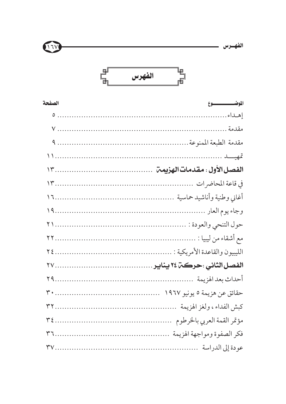





| الصفحة | الموضىسىسسسسوع |
|--------|----------------|
|        |                |
|        |                |
|        |                |
|        |                |
|        |                |
|        |                |
|        |                |
|        |                |
|        |                |
|        |                |
|        |                |
|        |                |
|        |                |
|        |                |
|        |                |
|        |                |
|        |                |
|        |                |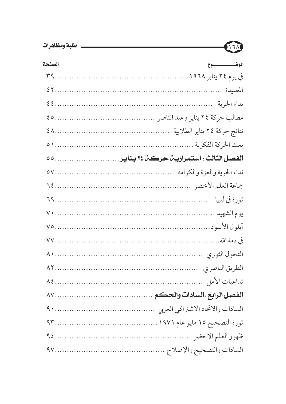| الصفحة | الموضىسىسىسسىدوع |
|--------|------------------|
|        |                  |
|        |                  |
|        |                  |
|        |                  |
|        |                  |
|        |                  |
|        |                  |
|        |                  |
|        |                  |
|        |                  |
|        |                  |
|        |                  |
|        |                  |
|        |                  |
|        |                  |
|        |                  |
|        |                  |
|        |                  |
|        |                  |
|        |                  |
|        |                  |
|        |                  |

ITA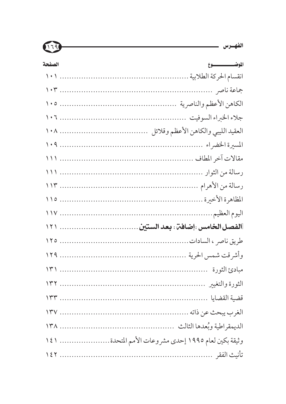| الصفحة | الموضىسىسىسسىدوع                                    |
|--------|-----------------------------------------------------|
|        |                                                     |
|        |                                                     |
|        |                                                     |
|        |                                                     |
|        |                                                     |
|        |                                                     |
|        |                                                     |
|        |                                                     |
|        |                                                     |
|        |                                                     |
|        |                                                     |
|        |                                                     |
|        |                                                     |
|        |                                                     |
|        |                                                     |
|        |                                                     |
|        |                                                     |
|        |                                                     |
|        |                                                     |
|        | وثيقة بكين لعام ١٩٩٥ إحدى مشروعات الأمم المتحدة ١٤١ |
|        |                                                     |

الفهرس مستشمل المستخدمات المستخدمات المستخدمات